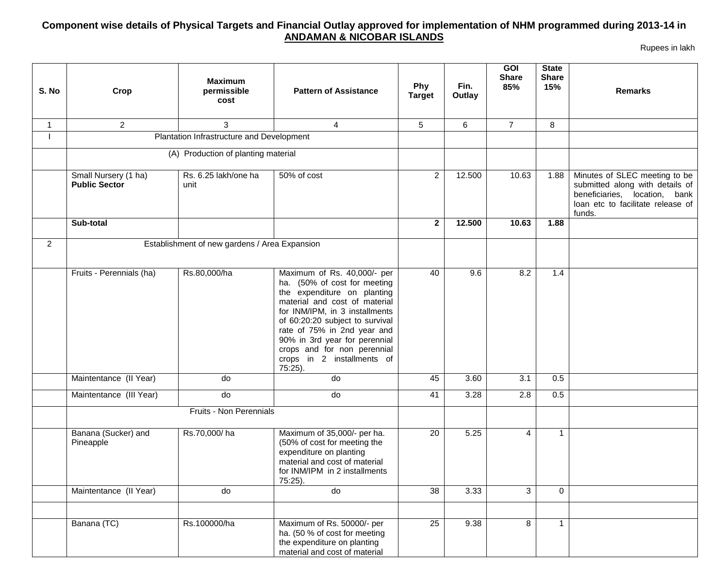## **Component wise details of Physical Targets and Financial Outlay approved for implementation of NHM programmed during 2013-14 in ANDAMAN & NICOBAR ISLANDS**

Rupees in lakh

| S. No          | Crop                                         | <b>Maximum</b><br>permissible<br>cost         | <b>Pattern of Assistance</b>                                                                                                                                                                                                                                                                                                             | Phy<br><b>Target</b> | Fin.<br>Outlay | GOI<br><b>Share</b><br>85% | <b>State</b><br><b>Share</b><br>15% | <b>Remarks</b>                                                                                                                                   |
|----------------|----------------------------------------------|-----------------------------------------------|------------------------------------------------------------------------------------------------------------------------------------------------------------------------------------------------------------------------------------------------------------------------------------------------------------------------------------------|----------------------|----------------|----------------------------|-------------------------------------|--------------------------------------------------------------------------------------------------------------------------------------------------|
| $\mathbf{1}$   | $\overline{2}$                               | 3                                             | $\overline{4}$                                                                                                                                                                                                                                                                                                                           | 5                    | 6              | $\overline{7}$             | 8                                   |                                                                                                                                                  |
|                |                                              | Plantation Infrastructure and Development     |                                                                                                                                                                                                                                                                                                                                          |                      |                |                            |                                     |                                                                                                                                                  |
|                |                                              | (A) Production of planting material           |                                                                                                                                                                                                                                                                                                                                          |                      |                |                            |                                     |                                                                                                                                                  |
|                | Small Nursery (1 ha)<br><b>Public Sector</b> | Rs. 6.25 lakh/one ha<br>unit                  | 50% of cost                                                                                                                                                                                                                                                                                                                              | $\overline{2}$       | 12.500         | 10.63                      | 1.88                                | Minutes of SLEC meeting to be<br>submitted along with details of<br>beneficiaries, location, bank<br>loan etc to facilitate release of<br>funds. |
|                | Sub-total                                    |                                               |                                                                                                                                                                                                                                                                                                                                          | $\mathbf{2}$         | 12.500         | 10.63                      | 1.88                                |                                                                                                                                                  |
| $\overline{2}$ |                                              | Establishment of new gardens / Area Expansion |                                                                                                                                                                                                                                                                                                                                          |                      |                |                            |                                     |                                                                                                                                                  |
|                | Fruits - Perennials (ha)                     | Rs.80,000/ha                                  | Maximum of Rs. 40,000/- per<br>ha. (50% of cost for meeting<br>the expenditure on planting<br>material and cost of material<br>for INM/IPM, in 3 installments<br>of 60:20:20 subject to survival<br>rate of 75% in 2nd year and<br>90% in 3rd year for perennial<br>crops and for non perennial<br>crops in 2 installments of<br>75:25). | 40                   | 9.6            | 8.2                        | 1.4                                 |                                                                                                                                                  |
|                | Maintentance (II Year)                       | do                                            | do                                                                                                                                                                                                                                                                                                                                       | 45                   | 3.60           | 3.1                        | 0.5                                 |                                                                                                                                                  |
|                | Maintentance (III Year)                      | do                                            | do                                                                                                                                                                                                                                                                                                                                       | 41                   | 3.28           | 2.8                        | 0.5                                 |                                                                                                                                                  |
|                |                                              | Fruits - Non Perennials                       |                                                                                                                                                                                                                                                                                                                                          |                      |                |                            |                                     |                                                                                                                                                  |
|                | Banana (Sucker) and<br>Pineapple             | Rs.70,000/ha                                  | Maximum of 35,000/- per ha.<br>(50% of cost for meeting the<br>expenditure on planting<br>material and cost of material<br>for INM/IPM in 2 installments<br>75:25).                                                                                                                                                                      | 20                   | 5.25           | 4                          | 1                                   |                                                                                                                                                  |
|                | Maintentance (II Year)                       | do                                            | do                                                                                                                                                                                                                                                                                                                                       | 38                   | 3.33           | 3                          | $\Omega$                            |                                                                                                                                                  |
|                |                                              |                                               |                                                                                                                                                                                                                                                                                                                                          |                      |                |                            |                                     |                                                                                                                                                  |
|                | Banana (TC)                                  | Rs.100000/ha                                  | Maximum of Rs. 50000/- per<br>ha. (50 % of cost for meeting<br>the expenditure on planting<br>material and cost of material                                                                                                                                                                                                              | $\overline{25}$      | 9.38           | 8                          | 1                                   |                                                                                                                                                  |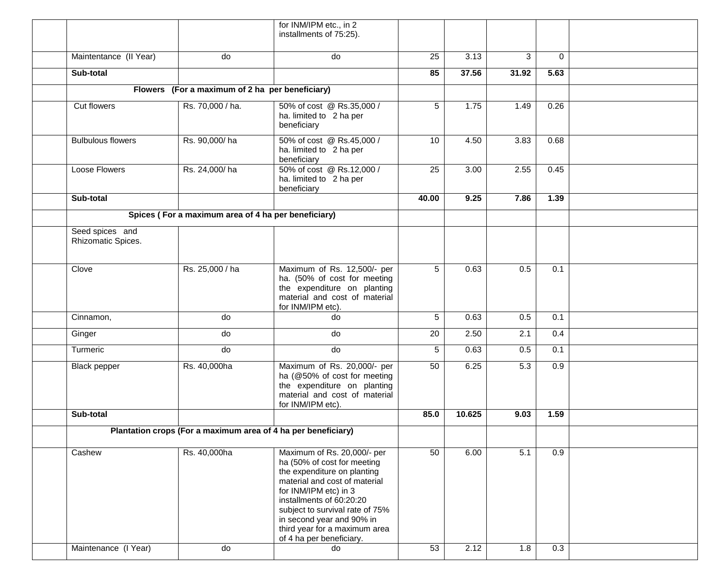|                                       |                                                               | for INM/IPM etc., in 2<br>installments of 75:25).                                                                                                                                                                                                                                |       |        |       |          |  |
|---------------------------------------|---------------------------------------------------------------|----------------------------------------------------------------------------------------------------------------------------------------------------------------------------------------------------------------------------------------------------------------------------------|-------|--------|-------|----------|--|
| Maintentance (II Year)                | do                                                            | do                                                                                                                                                                                                                                                                               | 25    | 3.13   | 3     | $\Omega$ |  |
| Sub-total                             |                                                               |                                                                                                                                                                                                                                                                                  | 85    | 37.56  | 31.92 | 5.63     |  |
|                                       | Flowers (For a maximum of 2 ha per beneficiary)               |                                                                                                                                                                                                                                                                                  |       |        |       |          |  |
| Cut flowers                           | Rs. 70,000 / ha.                                              | 50% of cost @ Rs.35,000 /<br>ha. limited to 2 ha per<br>beneficiary                                                                                                                                                                                                              | 5     | 1.75   | 1.49  | 0.26     |  |
| <b>Bulbulous flowers</b>              | Rs. 90,000/ha                                                 | 50% of cost @ Rs.45,000 /<br>ha. limited to 2 ha per<br>beneficiary                                                                                                                                                                                                              | 10    | 4.50   | 3.83  | 0.68     |  |
| Loose Flowers                         | Rs. 24,000/ha                                                 | 50% of cost @ Rs.12,000 /<br>ha. limited to 2 ha per<br>beneficiary                                                                                                                                                                                                              | 25    | 3.00   | 2.55  | 0.45     |  |
| Sub-total                             |                                                               |                                                                                                                                                                                                                                                                                  | 40.00 | 9.25   | 7.86  | 1.39     |  |
|                                       | Spices (For a maximum area of 4 ha per beneficiary)           |                                                                                                                                                                                                                                                                                  |       |        |       |          |  |
| Seed spices and<br>Rhizomatic Spices. |                                                               |                                                                                                                                                                                                                                                                                  |       |        |       |          |  |
| Clove                                 | Rs. 25,000 / ha                                               | Maximum of Rs. 12,500/- per<br>ha. (50% of cost for meeting<br>the expenditure on planting<br>material and cost of material<br>for INM/IPM etc).                                                                                                                                 | 5     | 0.63   | 0.5   | 0.1      |  |
| Cinnamon,                             | do                                                            | do                                                                                                                                                                                                                                                                               | 5     | 0.63   | 0.5   | 0.1      |  |
| Ginger                                | do                                                            | do                                                                                                                                                                                                                                                                               | 20    | 2.50   | 2.1   | 0.4      |  |
| Turmeric                              | do                                                            | do                                                                                                                                                                                                                                                                               | 5     | 0.63   | 0.5   | 0.1      |  |
| <b>Black pepper</b>                   | Rs. 40,000ha                                                  | Maximum of Rs. 20,000/- per<br>ha (@50% of cost for meeting<br>the expenditure on planting<br>material and cost of material<br>for INM/IPM etc).                                                                                                                                 | 50    | 6.25   | 5.3   | 0.9      |  |
| Sub-total                             |                                                               |                                                                                                                                                                                                                                                                                  | 85.0  | 10.625 | 9.03  | 1.59     |  |
|                                       | Plantation crops (For a maximum area of 4 ha per beneficiary) |                                                                                                                                                                                                                                                                                  |       |        |       |          |  |
| Cashew                                | Rs. 40,000ha                                                  | Maximum of Rs. 20,000/- per<br>ha (50% of cost for meeting<br>the expenditure on planting<br>material and cost of material<br>for INM/IPM etc) in 3<br>installments of 60:20:20<br>subject to survival rate of 75%<br>in second year and 90% in<br>third year for a maximum area | 50    | 6.00   | 5.1   | 0.9      |  |
| Maintenance (I Year)                  | do                                                            | of 4 ha per beneficiary.<br>do                                                                                                                                                                                                                                                   | 53    | 2.12   | 1.8   | 0.3      |  |
|                                       |                                                               |                                                                                                                                                                                                                                                                                  |       |        |       |          |  |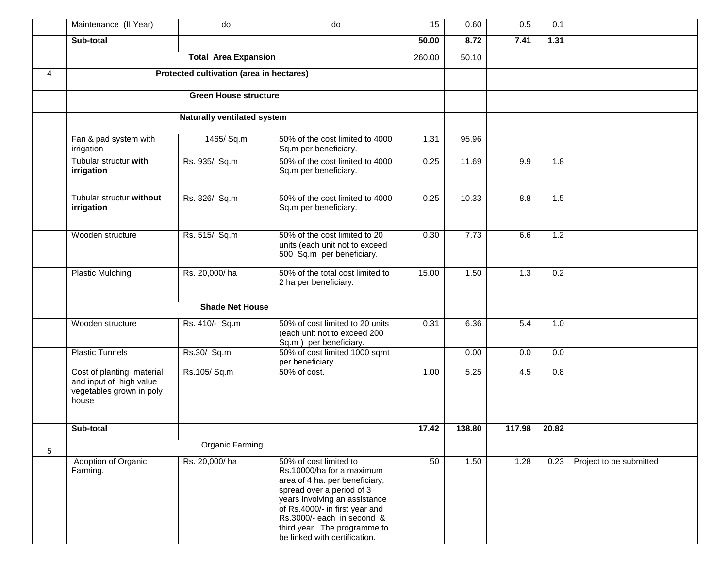|   | Maintenance (II Year)                                                                     | do                                       | do                                                                                                                                                                                                                                                                                   | 15     | 0.60   | 0.5    | 0.1   |                         |
|---|-------------------------------------------------------------------------------------------|------------------------------------------|--------------------------------------------------------------------------------------------------------------------------------------------------------------------------------------------------------------------------------------------------------------------------------------|--------|--------|--------|-------|-------------------------|
|   | Sub-total                                                                                 |                                          |                                                                                                                                                                                                                                                                                      | 50.00  | 8.72   | 7.41   | 1.31  |                         |
|   |                                                                                           | <b>Total Area Expansion</b>              |                                                                                                                                                                                                                                                                                      | 260.00 | 50.10  |        |       |                         |
| 4 |                                                                                           | Protected cultivation (area in hectares) |                                                                                                                                                                                                                                                                                      |        |        |        |       |                         |
|   |                                                                                           | <b>Green House structure</b>             |                                                                                                                                                                                                                                                                                      |        |        |        |       |                         |
|   |                                                                                           | Naturally ventilated system              |                                                                                                                                                                                                                                                                                      |        |        |        |       |                         |
|   |                                                                                           |                                          |                                                                                                                                                                                                                                                                                      |        |        |        |       |                         |
|   | Fan & pad system with<br>irrigation                                                       | 1465/ Sq.m                               | 50% of the cost limited to 4000<br>Sq.m per beneficiary.                                                                                                                                                                                                                             | 1.31   | 95.96  |        |       |                         |
|   | Tubular structur with<br>irrigation                                                       | Rs. 935/ Sq.m                            | 50% of the cost limited to 4000<br>Sq.m per beneficiary.                                                                                                                                                                                                                             | 0.25   | 11.69  | 9.9    | 1.8   |                         |
|   | Tubular structur without<br>irrigation                                                    | Rs. 826/ Sq.m                            | 50% of the cost limited to 4000<br>Sq.m per beneficiary.                                                                                                                                                                                                                             | 0.25   | 10.33  | 8.8    | 1.5   |                         |
|   | Wooden structure                                                                          | Rs. 515/ Sq.m                            | 50% of the cost limited to 20<br>units (each unit not to exceed<br>500 Sq.m per beneficiary.                                                                                                                                                                                         | 0.30   | 7.73   | 6.6    | 1.2   |                         |
|   | Plastic Mulching                                                                          | Rs. 20,000/ha                            | 50% of the total cost limited to<br>2 ha per beneficiary.                                                                                                                                                                                                                            | 15.00  | 1.50   | 1.3    | 0.2   |                         |
|   |                                                                                           | <b>Shade Net House</b>                   |                                                                                                                                                                                                                                                                                      |        |        |        |       |                         |
|   | Wooden structure                                                                          | Rs. 410/- Sq.m                           | 50% of cost limited to 20 units<br>(each unit not to exceed 200<br>Sq.m ) per beneficiary.                                                                                                                                                                                           | 0.31   | 6.36   | 5.4    | 1.0   |                         |
|   | <b>Plastic Tunnels</b>                                                                    | Rs.30/ Sq.m                              | 50% of cost limited 1000 sqmt<br>per beneficiary.                                                                                                                                                                                                                                    |        | 0.00   | 0.0    | 0.0   |                         |
|   | Cost of planting material<br>and input of high value<br>vegetables grown in poly<br>house | Rs.105/Sq.m                              | 50% of cost.                                                                                                                                                                                                                                                                         | 1.00   | 5.25   | 4.5    | 0.8   |                         |
|   | Sub-total                                                                                 |                                          |                                                                                                                                                                                                                                                                                      | 17.42  | 138.80 | 117.98 | 20.82 |                         |
| 5 |                                                                                           | Organic Farming                          |                                                                                                                                                                                                                                                                                      |        |        |        |       |                         |
|   | Adoption of Organic<br>Farming.                                                           | Rs. 20,000/ha                            | 50% of cost limited to<br>Rs.10000/ha for a maximum<br>area of 4 ha. per beneficiary,<br>spread over a period of 3<br>years involving an assistance<br>of Rs.4000/- in first year and<br>Rs.3000/- each in second &<br>third year. The programme to<br>be linked with certification. | 50     | 1.50   | 1.28   | 0.23  | Project to be submitted |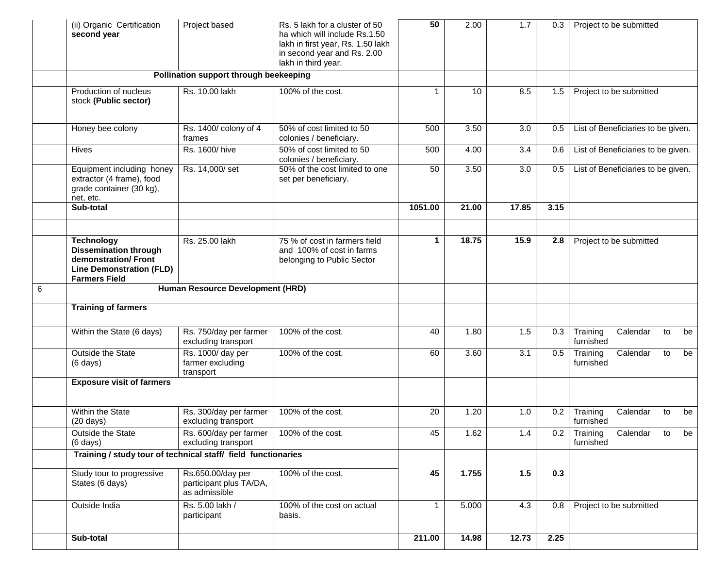|   | (ii) Organic Certification<br>second year                                                                                           | Project based                                                 | Rs. 5 lakh for a cluster of 50<br>ha which will include Rs.1.50<br>lakh in first year, Rs. 1.50 lakh<br>in second year and Rs. 2.00<br>lakh in third year. | 50           | 2.00  | 1.7   | 0.3  |                       | Project to be submitted            |    |    |
|---|-------------------------------------------------------------------------------------------------------------------------------------|---------------------------------------------------------------|------------------------------------------------------------------------------------------------------------------------------------------------------------|--------------|-------|-------|------|-----------------------|------------------------------------|----|----|
|   |                                                                                                                                     | Pollination support through beekeeping                        |                                                                                                                                                            |              |       |       |      |                       |                                    |    |    |
|   | Production of nucleus<br>stock (Public sector)                                                                                      | Rs. 10.00 lakh                                                | 100% of the cost.                                                                                                                                          | 1            | 10    | 8.5   | 1.5  |                       | Project to be submitted            |    |    |
|   | Honey bee colony                                                                                                                    | Rs. 1400/ colony of 4<br>frames                               | 50% of cost limited to 50<br>colonies / beneficiary.                                                                                                       | 500          | 3.50  | 3.0   | 0.5  |                       | List of Beneficiaries to be given. |    |    |
|   | <b>Hives</b>                                                                                                                        | Rs. 1600/hive                                                 | 50% of cost limited to 50<br>colonies / beneficiary.                                                                                                       | 500          | 4.00  | 3.4   | 0.6  |                       | List of Beneficiaries to be given. |    |    |
|   | Equipment including honey<br>extractor (4 frame), food<br>grade container (30 kg),<br>net, etc.                                     | Rs. 14,000/set                                                | 50% of the cost limited to one<br>set per beneficiary.                                                                                                     | 50           | 3.50  | 3.0   | 0.5  |                       | List of Beneficiaries to be given. |    |    |
|   | Sub-total                                                                                                                           |                                                               |                                                                                                                                                            | 1051.00      | 21.00 | 17.85 | 3.15 |                       |                                    |    |    |
|   | <b>Technology</b><br><b>Dissemination through</b><br>demonstration/Front<br><b>Line Demonstration (FLD)</b><br><b>Farmers Field</b> | Rs. 25.00 lakh                                                | 75 % of cost in farmers field<br>and 100% of cost in farms<br>belonging to Public Sector                                                                   | 1            | 18.75 | 15.9  | 2.8  |                       | Project to be submitted            |    |    |
| 6 |                                                                                                                                     | Human Resource Development (HRD)                              |                                                                                                                                                            |              |       |       |      |                       |                                    |    |    |
|   | <b>Training of farmers</b>                                                                                                          |                                                               |                                                                                                                                                            |              |       |       |      |                       |                                    |    |    |
|   | Within the State (6 days)                                                                                                           | Rs. 750/day per farmer<br>excluding transport                 | 100% of the cost.                                                                                                                                          | 40           | 1.80  | 1.5   | 0.3  | Training<br>furnished | Calendar                           | to | be |
|   | Outside the State<br>$(6 \text{ days})$                                                                                             | Rs. 1000/ day per<br>farmer excluding<br>transport            | 100% of the cost.                                                                                                                                          | 60           | 3.60  | 3.1   | 0.5  | Training<br>furnished | Calendar                           | to | be |
|   | <b>Exposure visit of farmers</b>                                                                                                    |                                                               |                                                                                                                                                            |              |       |       |      |                       |                                    |    |    |
|   | Within the State<br>$(20 \text{ days})$                                                                                             | Rs. 300/day per farmer<br>excluding transport                 | 100% of the cost.                                                                                                                                          | 20           | 1.20  | 1.0   | 0.2  | Training<br>furnished | Calendar                           | to | be |
|   | Outside the State<br>$(6 \text{ days})$                                                                                             | Rs. 600/day per farmer<br>excluding transport                 | 100% of the cost.                                                                                                                                          | 45           | 1.62  | 1.4   | 0.2  | Training<br>furnished | Calendar to                        |    | be |
|   | Training / study tour of technical staff/ field functionaries                                                                       |                                                               |                                                                                                                                                            |              |       |       |      |                       |                                    |    |    |
|   | Study tour to progressive<br>States (6 days)                                                                                        | Rs.650.00/day per<br>participant plus TA/DA,<br>as admissible | 100% of the cost.                                                                                                                                          | 45           | 1.755 | 1.5   | 0.3  |                       |                                    |    |    |
|   | Outside India                                                                                                                       | Rs. 5.00 lakh /<br>participant                                | 100% of the cost on actual<br>basis.                                                                                                                       | $\mathbf{1}$ | 5.000 | 4.3   | 0.8  |                       | Project to be submitted            |    |    |
|   | Sub-total                                                                                                                           |                                                               |                                                                                                                                                            | 211.00       | 14.98 | 12.73 | 2.25 |                       |                                    |    |    |